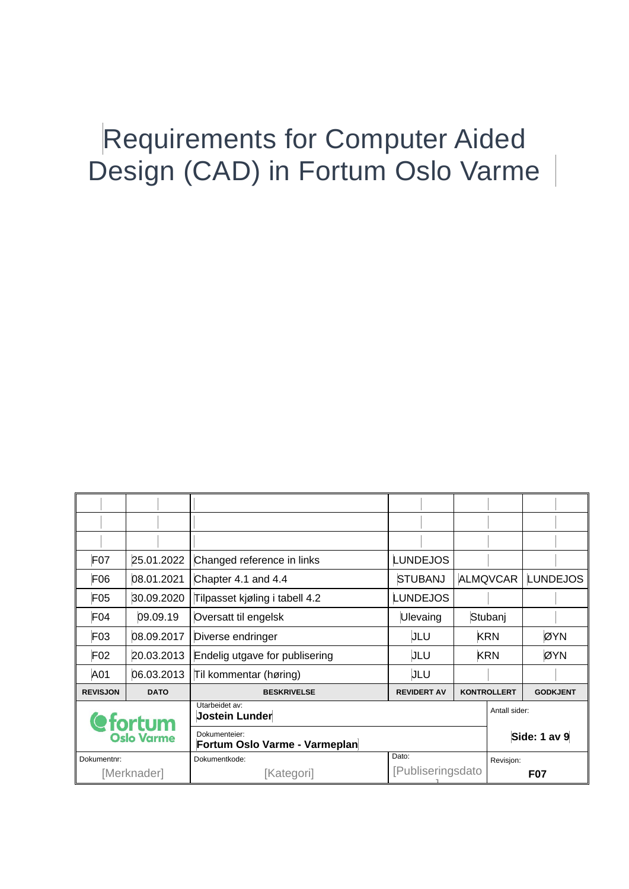| F <sub>07</sub>              | 25.01.2022  | <b>LUNDEJOS</b><br>Changed reference in links  |                    |                                       |               |  |  |
|------------------------------|-------------|------------------------------------------------|--------------------|---------------------------------------|---------------|--|--|
| F <sub>06</sub>              | 08.01.2021  | Chapter 4.1 and 4.4                            | <b>STUBANJ</b>     | <b>LUNDEJOS</b><br><b>ALMQVCAR</b>    |               |  |  |
| F <sub>05</sub>              | 30.09.2020  | Tilpasset kjøling i tabell 4.2                 | <b>LUNDEJOS</b>    |                                       |               |  |  |
| F <sub>04</sub>              | 09.09.19    | Oversatt til engelsk                           | Ulevaing           | Stubanj                               |               |  |  |
| F <sub>03</sub>              | 08.09.2017  | Diverse endringer                              | JLU                | <b>KRN</b><br>ØYN                     |               |  |  |
| F <sub>02</sub>              | 20.03.2013  | Endelig utgave for publisering                 | JLU                | <b>KRN</b><br>ØYN                     |               |  |  |
| A01                          | 06.03.2013  | Til kommentar (høring)                         | JLU                |                                       |               |  |  |
| <b>REVISJON</b>              | <b>DATO</b> | <b>BESKRIVELSE</b>                             | <b>REVIDERT AV</b> | <b>KONTROLLERT</b><br><b>GODKJENT</b> |               |  |  |
| <b><i><u>efortum</u></i></b> |             | Utarbeidet av:<br><b>Jostein Lunder</b>        |                    |                                       | Antall sider: |  |  |
| <b>Oslo Varme</b>            |             | Dokumenteier:<br>Fortum Oslo Varme - Varmeplan |                    |                                       | Side: 1 av 9  |  |  |
| Dokumentnr:                  |             | Dato:<br>Dokumentkode:                         |                    |                                       | Revisjon:     |  |  |
| [Merknader]                  |             | [Kategori]                                     |                    | [Publiseringsdato<br><b>F07</b>       |               |  |  |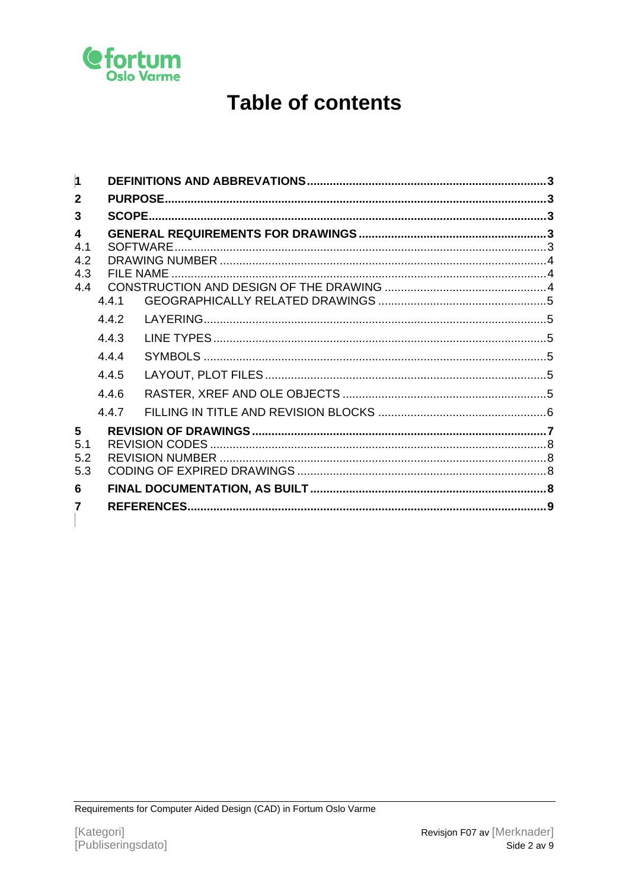

## **Table of contents**

| $\vert$ 1                                           |              |  |  |  |  |
|-----------------------------------------------------|--------------|--|--|--|--|
| $\mathbf{2}$                                        |              |  |  |  |  |
| 3                                                   |              |  |  |  |  |
| $\overline{\mathbf{A}}$<br>4.1<br>4.2<br>4.3<br>4.4 |              |  |  |  |  |
|                                                     | 4.4.1<br>442 |  |  |  |  |
|                                                     | 443          |  |  |  |  |
|                                                     | 444          |  |  |  |  |
|                                                     | 445          |  |  |  |  |
|                                                     | 4.4.6        |  |  |  |  |
|                                                     | 4.4.7        |  |  |  |  |
| 5<br>5.1<br>5.2<br>5.3<br>6                         |              |  |  |  |  |
| 7                                                   |              |  |  |  |  |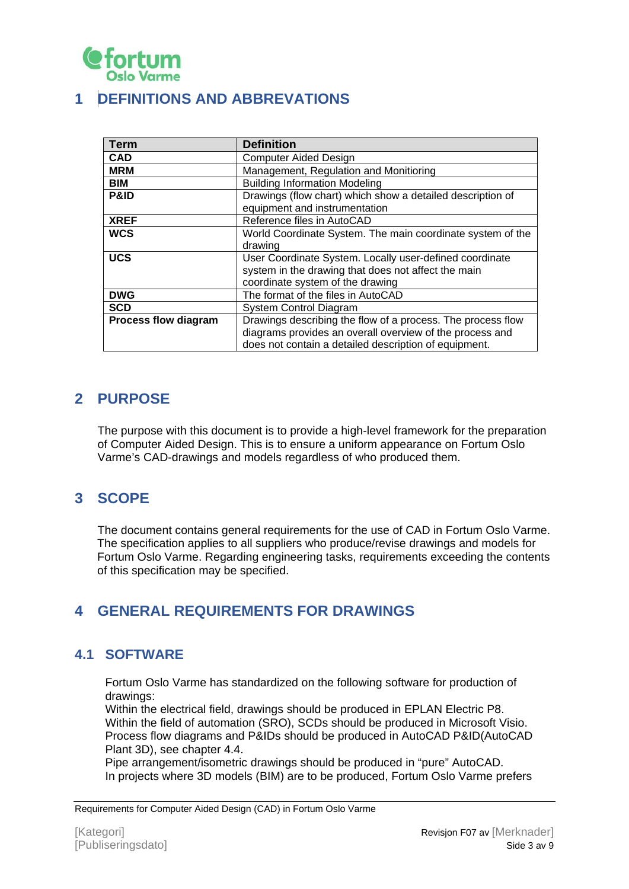

## <span id="page-2-0"></span>**1 DEFINITIONS AND ABBREVATIONS**

| <b>Term</b>                 | <b>Definition</b>                                           |  |
|-----------------------------|-------------------------------------------------------------|--|
| <b>CAD</b>                  | <b>Computer Aided Design</b>                                |  |
| <b>MRM</b>                  | Management, Regulation and Monitioring                      |  |
| <b>BIM</b>                  | <b>Building Information Modeling</b>                        |  |
| <b>P&amp;ID</b>             | Drawings (flow chart) which show a detailed description of  |  |
|                             | equipment and instrumentation                               |  |
| <b>XREF</b>                 | Reference files in AutoCAD                                  |  |
| <b>WCS</b>                  | World Coordinate System. The main coordinate system of the  |  |
|                             | drawing                                                     |  |
| <b>UCS</b>                  | User Coordinate System. Locally user-defined coordinate     |  |
|                             | system in the drawing that does not affect the main         |  |
|                             | coordinate system of the drawing                            |  |
| <b>DWG</b>                  | The format of the files in AutoCAD                          |  |
| <b>SCD</b>                  | System Control Diagram                                      |  |
| <b>Process flow diagram</b> | Drawings describing the flow of a process. The process flow |  |
|                             | diagrams provides an overall overview of the process and    |  |
|                             | does not contain a detailed description of equipment.       |  |

## <span id="page-2-1"></span>**2 PURPOSE**

The purpose with this document is to provide a high-level framework for the preparation of Computer Aided Design. This is to ensure a uniform appearance on Fortum Oslo Varme's CAD-drawings and models regardless of who produced them.

## <span id="page-2-2"></span>**3 SCOPE**

The document contains general requirements for the use of CAD in Fortum Oslo Varme. The specification applies to all suppliers who produce/revise drawings and models for Fortum Oslo Varme. Regarding engineering tasks, requirements exceeding the contents of this specification may be specified.

## <span id="page-2-3"></span>**4 GENERAL REQUIREMENTS FOR DRAWINGS**

## <span id="page-2-4"></span>**4.1 SOFTWARE**

Fortum Oslo Varme has standardized on the following software for production of drawings:

Within the electrical field, drawings should be produced in EPLAN Electric P8. Within the field of automation (SRO), SCDs should be produced in Microsoft Visio. Process flow diagrams and P&IDs should be produced in AutoCAD P&ID(AutoCAD Plant 3D), see chapter 4.4.

Pipe arrangement/isometric drawings should be produced in "pure" AutoCAD. In projects where 3D models (BIM) are to be produced, Fortum Oslo Varme prefers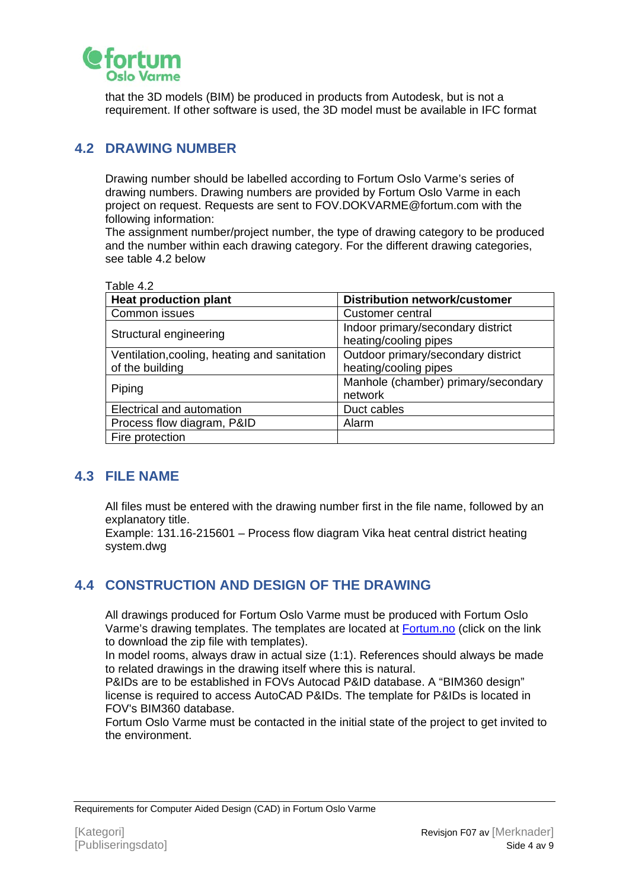

that the 3D models (BIM) be produced in products from Autodesk, but is not a requirement. If other software is used, the 3D model must be available in IFC format

#### <span id="page-3-0"></span>**4.2 DRAWING NUMBER**

Drawing number should be labelled according to Fortum Oslo Varme's series of drawing numbers. Drawing numbers are provided by Fortum Oslo Varme in each project on request. Requests are sent to FOV.DOKVARME@fortum.com with the following information:

The assignment number/project number, the type of drawing category to be produced and the number within each drawing category. For the different drawing categories, see table 4.2 below

|--|

| <b>Heat production plant</b>                 | <b>Distribution network/customer</b>                       |
|----------------------------------------------|------------------------------------------------------------|
| Common issues                                | Customer central                                           |
| Structural engineering                       | Indoor primary/secondary district<br>heating/cooling pipes |
| Ventilation, cooling, heating and sanitation | Outdoor primary/secondary district                         |
| of the building                              | heating/cooling pipes                                      |
| Piping                                       | Manhole (chamber) primary/secondary<br>network             |
| Electrical and automation                    | Duct cables                                                |
| Process flow diagram, P&ID                   | Alarm                                                      |
| Fire protection                              |                                                            |

#### <span id="page-3-1"></span>**4.3 FILE NAME**

All files must be entered with the drawing number first in the file name, followed by an explanatory title.

Example: 131.16-215601 – Process flow diagram Vika heat central district heating system.dwg

## <span id="page-3-2"></span>**4.4 CONSTRUCTION AND DESIGN OF THE DRAWING**

All drawings produced for Fortum Oslo Varme must be produced with Fortum Oslo Varme's drawing templates. The templates are located at [Fortum.no](https://www.fortum.no/media/5164/download) (click on the link to download the zip file with templates).

In model rooms, always draw in actual size (1:1). References should always be made to related drawings in the drawing itself where this is natural.

P&IDs are to be established in FOVs Autocad P&ID database. A "BIM360 design" license is required to access AutoCAD P&IDs. The template for P&IDs is located in FOV's BIM360 database.

Fortum Oslo Varme must be contacted in the initial state of the project to get invited to the environment.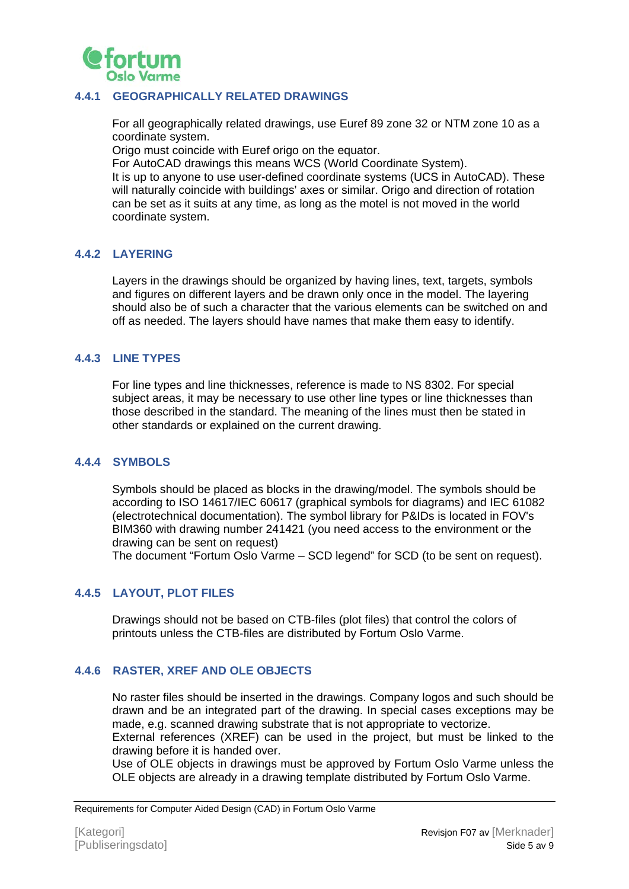

#### <span id="page-4-0"></span>**4.4.1 GEOGRAPHICALLY RELATED DRAWINGS**

For all geographically related drawings, use Euref 89 zone 32 or NTM zone 10 as a coordinate system.

Origo must coincide with Euref origo on the equator.

For AutoCAD drawings this means WCS (World Coordinate System). It is up to anyone to use user-defined coordinate systems (UCS in AutoCAD). These will naturally coincide with buildings' axes or similar. Origo and direction of rotation can be set as it suits at any time, as long as the motel is not moved in the world coordinate system.

#### <span id="page-4-1"></span>**4.4.2 LAYERING**

Layers in the drawings should be organized by having lines, text, targets, symbols and figures on different layers and be drawn only once in the model. The layering should also be of such a character that the various elements can be switched on and off as needed. The layers should have names that make them easy to identify.

#### <span id="page-4-2"></span>**4.4.3 LINE TYPES**

For line types and line thicknesses, reference is made to NS 8302. For special subject areas, it may be necessary to use other line types or line thicknesses than those described in the standard. The meaning of the lines must then be stated in other standards or explained on the current drawing.

#### <span id="page-4-3"></span>**4.4.4 SYMBOLS**

Symbols should be placed as blocks in the drawing/model. The symbols should be according to ISO 14617/IEC 60617 (graphical symbols for diagrams) and IEC 61082 (electrotechnical documentation). The symbol library for P&IDs is located in FOV's BIM360 with drawing number 241421 (you need access to the environment or the drawing can be sent on request)

The document "Fortum Oslo Varme – SCD legend" for SCD (to be sent on request).

#### <span id="page-4-4"></span>**4.4.5 LAYOUT, PLOT FILES**

Drawings should not be based on CTB-files (plot files) that control the colors of printouts unless the CTB-files are distributed by Fortum Oslo Varme.

#### <span id="page-4-5"></span>**4.4.6 RASTER, XREF AND OLE OBJECTS**

No raster files should be inserted in the drawings. Company logos and such should be drawn and be an integrated part of the drawing. In special cases exceptions may be made, e.g. scanned drawing substrate that is not appropriate to vectorize. External references (XREF) can be used in the project, but must be linked to the

drawing before it is handed over.

Use of OLE objects in drawings must be approved by Fortum Oslo Varme unless the OLE objects are already in a drawing template distributed by Fortum Oslo Varme.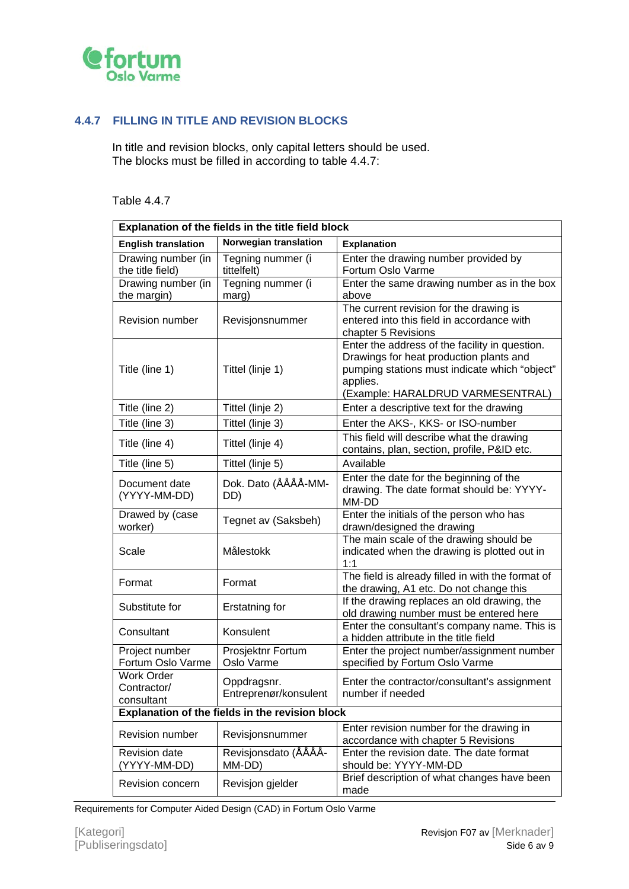

#### <span id="page-5-0"></span>**4.4.7 FILLING IN TITLE AND REVISION BLOCKS**

In title and revision blocks, only capital letters should be used. The blocks must be filled in according to table 4.4.7:

#### Table 4.4.7

| Explanation of the fields in the title field block |                                      |                                                                                                                                                                                             |  |  |
|----------------------------------------------------|--------------------------------------|---------------------------------------------------------------------------------------------------------------------------------------------------------------------------------------------|--|--|
| <b>English translation</b>                         | Norwegian translation                | <b>Explanation</b>                                                                                                                                                                          |  |  |
| Drawing number (in<br>the title field)             | Tegning nummer (i<br>tittelfelt)     | Enter the drawing number provided by<br>Fortum Oslo Varme                                                                                                                                   |  |  |
| Drawing number (in<br>the margin)                  | Tegning nummer (i<br>marg)           | Enter the same drawing number as in the box<br>above                                                                                                                                        |  |  |
| Revision number                                    | Revisjonsnummer                      | The current revision for the drawing is<br>entered into this field in accordance with<br>chapter 5 Revisions                                                                                |  |  |
| Title (line 1)                                     | Tittel (linje 1)                     | Enter the address of the facility in question.<br>Drawings for heat production plants and<br>pumping stations must indicate which "object"<br>applies.<br>(Example: HARALDRUD VARMESENTRAL) |  |  |
| Title (line 2)                                     | Tittel (linje 2)                     | Enter a descriptive text for the drawing                                                                                                                                                    |  |  |
| Title (line 3)                                     | Tittel (linje 3)                     | Enter the AKS-, KKS- or ISO-number                                                                                                                                                          |  |  |
| Title (line 4)                                     | Tittel (linje 4)                     | This field will describe what the drawing<br>contains, plan, section, profile, P&ID etc.                                                                                                    |  |  |
| Title (line 5)                                     | Tittel (linje 5)                     | Available                                                                                                                                                                                   |  |  |
| Document date<br>(YYYY-MM-DD)                      | Dok. Dato (ÅÅÅÅ-MM-<br>DD)           | Enter the date for the beginning of the<br>drawing. The date format should be: YYYY-<br>MM-DD                                                                                               |  |  |
| Drawed by (case<br>worker)                         | Tegnet av (Saksbeh)                  | Enter the initials of the person who has<br>drawn/designed the drawing                                                                                                                      |  |  |
| Scale                                              | Målestokk                            | The main scale of the drawing should be<br>indicated when the drawing is plotted out in<br>1:1                                                                                              |  |  |
| Format                                             | Format                               | The field is already filled in with the format of<br>the drawing, A1 etc. Do not change this                                                                                                |  |  |
| Substitute for                                     | Erstatning for                       | If the drawing replaces an old drawing, the<br>old drawing number must be entered here                                                                                                      |  |  |
| Consultant                                         | Konsulent                            | Enter the consultant's company name. This is<br>a hidden attribute in the title field                                                                                                       |  |  |
| Project number<br>Fortum Oslo Varme                | Prosjektnr Fortum<br>Oslo Varme      | Enter the project number/assignment number<br>specified by Fortum Oslo Varme                                                                                                                |  |  |
| <b>Work Order</b><br>Contractor/<br>consultant     | Oppdragsnr.<br>Entreprenør/konsulent | Enter the contractor/consultant's assignment<br>number if needed                                                                                                                            |  |  |
| Explanation of the fields in the revision block    |                                      |                                                                                                                                                                                             |  |  |
| <b>Revision number</b>                             | Revisjonsnummer                      | Enter revision number for the drawing in<br>accordance with chapter 5 Revisions                                                                                                             |  |  |
| <b>Revision date</b><br>(YYYY-MM-DD)               | Revisjonsdato (ÅÅÅÅ-<br>MM-DD)       | Enter the revision date. The date format<br>should be: YYYY-MM-DD                                                                                                                           |  |  |
| Revision concern                                   | Revisjon gjelder                     | Brief description of what changes have been<br>made                                                                                                                                         |  |  |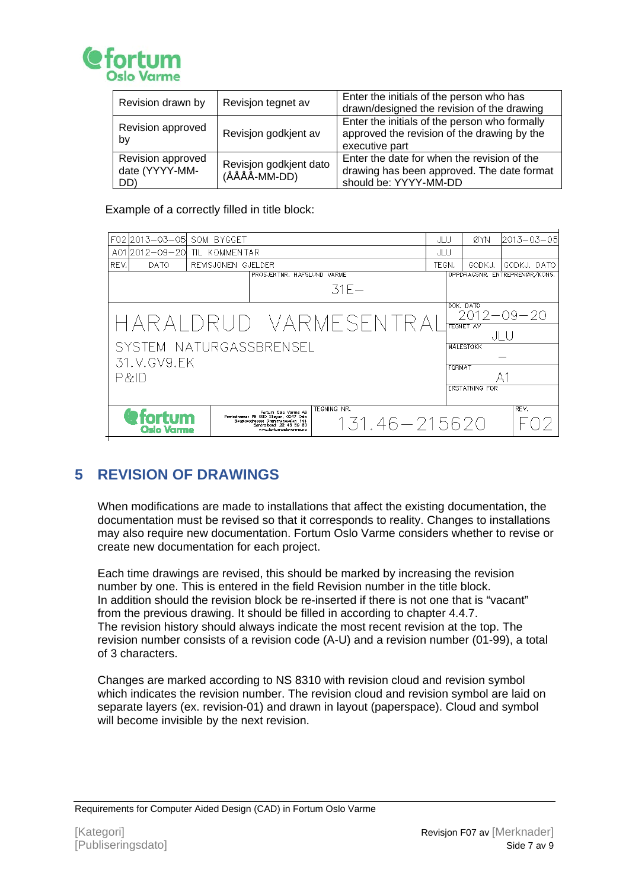

| Revision drawn by                          | Revisjon tegnet av                     | Enter the initials of the person who has<br>drawn/designed the revision of the drawing                             |
|--------------------------------------------|----------------------------------------|--------------------------------------------------------------------------------------------------------------------|
| Revision approved<br>by                    | Revisjon godkjent av                   | Enter the initials of the person who formally<br>approved the revision of the drawing by the<br>executive part     |
| Revision approved<br>date (YYYY-MM-<br>DD) | Revisjon godkjent dato<br>(ÅÅÅÅ-MM-DD) | Enter the date for when the revision of the<br>drawing has been approved. The date format<br>should be: YYYY-MM-DD |

Example of a correctly filled in title block:

|             |                                     |                                                                                                                                                                                                               |                                                                      | ØYN                                  | 2013–03–05                                                                                  |  |
|-------------|-------------------------------------|---------------------------------------------------------------------------------------------------------------------------------------------------------------------------------------------------------------|----------------------------------------------------------------------|--------------------------------------|---------------------------------------------------------------------------------------------|--|
|             |                                     |                                                                                                                                                                                                               |                                                                      |                                      |                                                                                             |  |
|             |                                     |                                                                                                                                                                                                               | TEGN.                                                                | GODKJ.                               | GODKJ, DATO                                                                                 |  |
|             |                                     |                                                                                                                                                                                                               |                                                                      |                                      | OPPDRAGSNR, ENTREPRENØR/KONS,                                                               |  |
|             |                                     | $31F -$                                                                                                                                                                                                       |                                                                      |                                      |                                                                                             |  |
|             |                                     |                                                                                                                                                                                                               |                                                                      |                                      |                                                                                             |  |
|             |                                     |                                                                                                                                                                                                               |                                                                      |                                      | $2012 - 09 - 20$                                                                            |  |
|             |                                     |                                                                                                                                                                                                               |                                                                      |                                      |                                                                                             |  |
| JLU         |                                     |                                                                                                                                                                                                               |                                                                      |                                      |                                                                                             |  |
|             |                                     |                                                                                                                                                                                                               |                                                                      |                                      |                                                                                             |  |
| 31.V.GV9.EK |                                     |                                                                                                                                                                                                               |                                                                      | FORMAT                               |                                                                                             |  |
| P&ID        |                                     |                                                                                                                                                                                                               |                                                                      |                                      |                                                                                             |  |
|             |                                     |                                                                                                                                                                                                               |                                                                      |                                      |                                                                                             |  |
|             |                                     |                                                                                                                                                                                                               |                                                                      |                                      | REV.                                                                                        |  |
|             |                                     |                                                                                                                                                                                                               |                                                                      |                                      |                                                                                             |  |
|             | www.fortumorskwomne.no.             |                                                                                                                                                                                                               |                                                                      |                                      |                                                                                             |  |
|             | <b>@fortum</b><br><b>Oslo Varme</b> | F02 2013-03-05 SOM BYGGET<br>12012-09-201 TIL KOMMENTAR<br>REVISJONEN GJELDER<br>Fortum Oslo Varme AS<br>Postadresse: PB 990 Skøyen, 0247 Odo<br>Besøksadreese: Drammeneveien 144<br>Sentrolbord: 22 43 59 80 | PROSJEKTNR, HAFSLUND VARME<br>SYSTEM NATURGASSBRENSEL<br>TEGNING NR. | JLU<br>JLU<br>HARALDRUD VARMESENTRAI | DOK, DATO<br><b>TEGNET AV</b><br><b>MALESTOKK</b><br><b>ERSTATNING FOR</b><br>131.46–215620 |  |

## <span id="page-6-0"></span>**5 REVISION OF DRAWINGS**

When modifications are made to installations that affect the existing documentation, the documentation must be revised so that it corresponds to reality. Changes to installations may also require new documentation. Fortum Oslo Varme considers whether to revise or create new documentation for each project.

Each time drawings are revised, this should be marked by increasing the revision number by one. This is entered in the field Revision number in the title block. In addition should the revision block be re-inserted if there is not one that is "vacant" from the previous drawing. It should be filled in according to chapter 4.4.7. The revision history should always indicate the most recent revision at the top. The revision number consists of a revision code (A-U) and a revision number (01-99), a total of 3 characters.

Changes are marked according to NS 8310 with revision cloud and revision symbol which indicates the revision number. The revision cloud and revision symbol are laid on separate layers (ex. revision-01) and drawn in layout (paperspace). Cloud and symbol will become invisible by the next revision.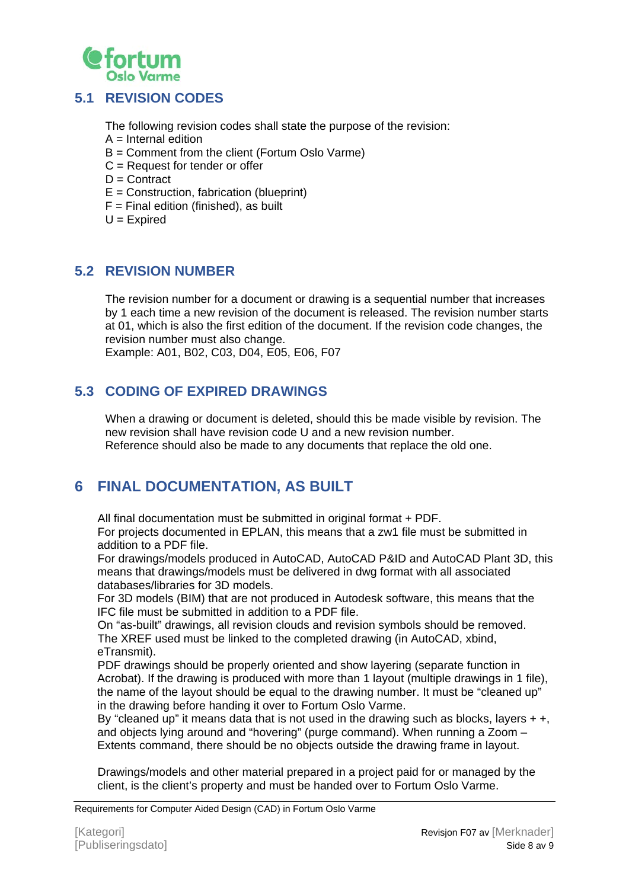

#### <span id="page-7-0"></span>**5.1 REVISION CODES**

The following revision codes shall state the purpose of the revision:

- $A =$  Internal edition
- B = Comment from the client (Fortum Oslo Varme)
- C = Request for tender or offer
- $D =$  Contract
- $E =$  Construction, fabrication (blueprint)
- $F =$  Final edition (finished), as built
- $U = E$ xpired

#### <span id="page-7-1"></span>**5.2 REVISION NUMBER**

The revision number for a document or drawing is a sequential number that increases by 1 each time a new revision of the document is released. The revision number starts at 01, which is also the first edition of the document. If the revision code changes, the revision number must also change.

Example: A01, B02, C03, D04, E05, E06, F07

## <span id="page-7-2"></span>**5.3 CODING OF EXPIRED DRAWINGS**

When a drawing or document is deleted, should this be made visible by revision. The new revision shall have revision code U and a new revision number. Reference should also be made to any documents that replace the old one.

## <span id="page-7-3"></span>**6 FINAL DOCUMENTATION, AS BUILT**

All final documentation must be submitted in original format + PDF.

For projects documented in EPLAN, this means that a zw1 file must be submitted in addition to a PDF file.

For drawings/models produced in AutoCAD, AutoCAD P&ID and AutoCAD Plant 3D, this means that drawings/models must be delivered in dwg format with all associated databases/libraries for 3D models.

For 3D models (BIM) that are not produced in Autodesk software, this means that the IFC file must be submitted in addition to a PDF file.

On "as-built" drawings, all revision clouds and revision symbols should be removed. The XREF used must be linked to the completed drawing (in AutoCAD, xbind, eTransmit).

PDF drawings should be properly oriented and show layering (separate function in Acrobat). If the drawing is produced with more than 1 layout (multiple drawings in 1 file), the name of the layout should be equal to the drawing number. It must be "cleaned up" in the drawing before handing it over to Fortum Oslo Varme.

By "cleaned up" it means data that is not used in the drawing such as blocks, layers  $+ +$ , and objects lying around and "hovering" (purge command). When running a Zoom – Extents command, there should be no objects outside the drawing frame in layout.

Drawings/models and other material prepared in a project paid for or managed by the client, is the client's property and must be handed over to Fortum Oslo Varme.